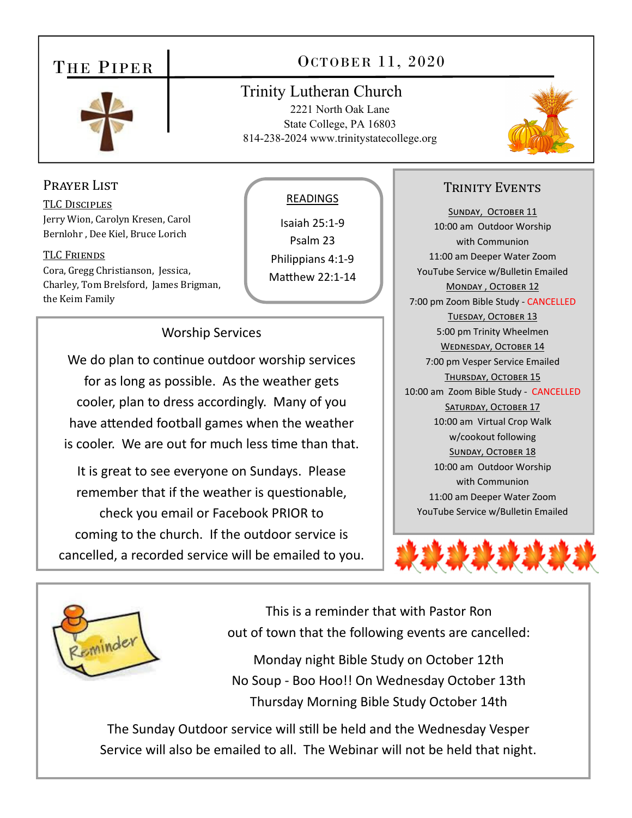## THE PIPER



# OCTOBER 11, 2020

## **Trinity Lutheran Church** 2221 North Oak Lane

State College, PA 16803 814-238-2024 www.trinitystatecollege.org



## PRAYER LIST

**TLC DISCIPLES** Jerry Wion, Carolyn Kresen, Carol Bernlohr, Dee Kiel, Bruce Lorich

#### **TLC FRIENDS**

Cora, Gregg Christianson, Jessica, Charley, Tom Brelsford, James Brigman, the Keim Family

#### **READINGS**

Isaiah 25:1-9 Psalm 23 Philippians 4:1-9

Matthew 22:1-14

## **Worship Services**

We do plan to continue outdoor worship services for as long as possible. As the weather gets cooler, plan to dress accordingly. Many of you have attended football games when the weather is cooler. We are out for much less time than that.

It is great to see everyone on Sundays. Please remember that if the weather is questionable, check you email or Facebook PRIOR to

coming to the church. If the outdoor service is cancelled, a recorded service will be emailed to you.

## **TRINITY EVENTS**

SUNDAY, OCTOBER 11 10:00 am Outdoor Worship with Communion 11:00 am Deeper Water Zoom YouTube Service w/Bulletin Emailed MONDAY, OCTOBER 12 7:00 pm Zoom Bible Study - CANCELLED TUESDAY, OCTOBER 13 5:00 pm Trinity Wheelmen **WEDNESDAY, OCTOBER 14** 7:00 pm Vesper Service Emailed THURSDAY, OCTOBER 15 10:00 am Zoom Bible Study - CANCELLED SATURDAY, OCTOBER 17 10:00 am Virtual Crop Walk w/cookout following **SUNDAY, OCTOBER 18** 10:00 am Outdoor Worship with Communion 11:00 am Deeper Water Zoom YouTube Service w/Bulletin Emailed





This is a reminder that with Pastor Ron out of town that the following events are cancelled:

Monday night Bible Study on October 12th No Soup - Boo Hoo!! On Wednesday October 13th Thursday Morning Bible Study October 14th

The Sunday Outdoor service will still be held and the Wednesday Vesper Service will also be emailed to all. The Webinar will not be held that night.